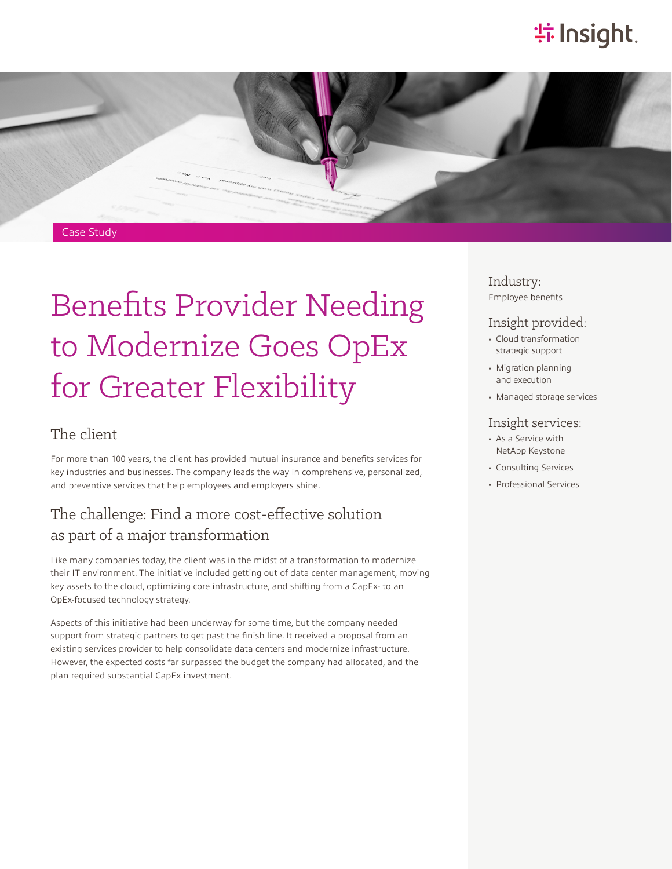# **特 Insight**.



# Benefits Provider Needing to Modernize Goes OpEx for Greater Flexibility

#### The client

For more than 100 years, the client has provided mutual insurance and benefits services for key industries and businesses. The company leads the way in comprehensive, personalized, and preventive services that help employees and employers shine.

#### The challenge: Find a more cost-effective solution as part of a major transformation

Like many companies today, the client was in the midst of a transformation to modernize their IT environment. The initiative included getting out of data center management, moving key assets to the cloud, optimizing core infrastructure, and shifting from a CapEx- to an OpEx-focused technology strategy.

Aspects of this initiative had been underway for some time, but the company needed support from strategic partners to get past the finish line. It received a proposal from an existing services provider to help consolidate data centers and modernize infrastructure. However, the expected costs far surpassed the budget the company had allocated, and the plan required substantial CapEx investment.

#### Industry: Employee benefits

#### Insight provided:

- Cloud transformation strategic support
- Migration planning and execution
- Managed storage services

#### Insight services:

- As a Service with NetApp Keystone
- Consulting Services
- Professional Services